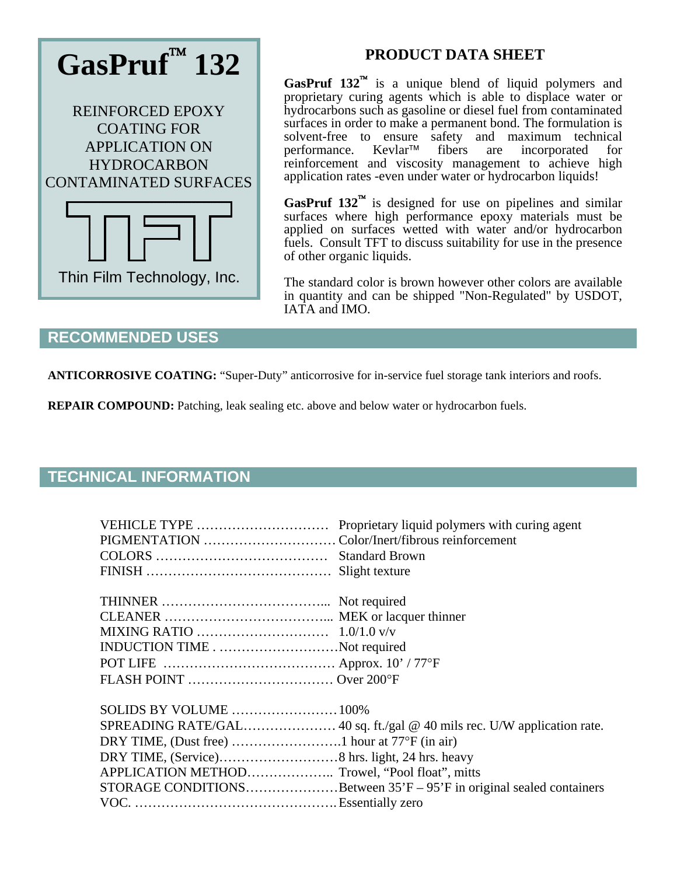

# **PRODUCT DATA SHEET**

**GasPruf 132<sup>™</sup>** is a unique blend of liquid polymers and proprietary curing agents which is able to displace water or hydrocarbons such as gasoline or diesel fuel from contaminated surfaces in order to make a permanent bond. The formulation is solvent-free to ensure safety and maximum technical performance. Kevlar<sup>TM</sup> fibers are incorporated for performance. Kevlar™ fibers are incorporated for reinforcement and viscosity management to achieve high application rates -even under water or hydrocarbon liquids!

**GasPruf 132<sup>™</sup>** is designed for use on pipelines and similar surfaces where high performance epoxy materials must be applied on surfaces wetted with water and/or hydrocarbon fuels. Consult TFT to discuss suitability for use in the presence of other organic liquids.

The standard color is brown however other colors are available in quantity and can be shipped "Non-Regulated" by USDOT, IATA and IMO.

## **RECOMMENDED USES**

**ANTICORROSIVE COATING:** "Super-Duty" anticorrosive for in-service fuel storage tank interiors and roofs.

**REPAIR COMPOUND:** Patching, leak sealing etc. above and below water or hydrocarbon fuels.

### **TECHNICAL INFORMATION**

| INDUCTION TIMENot required |                                                                       |
|----------------------------|-----------------------------------------------------------------------|
|                            |                                                                       |
|                            |                                                                       |
| SOLIDS BY VOLUME  100%     |                                                                       |
|                            |                                                                       |
|                            |                                                                       |
|                            |                                                                       |
|                            |                                                                       |
|                            | STORAGE CONDITIONSBetween $35'F - 95'F$ in original sealed containers |
|                            |                                                                       |
|                            |                                                                       |